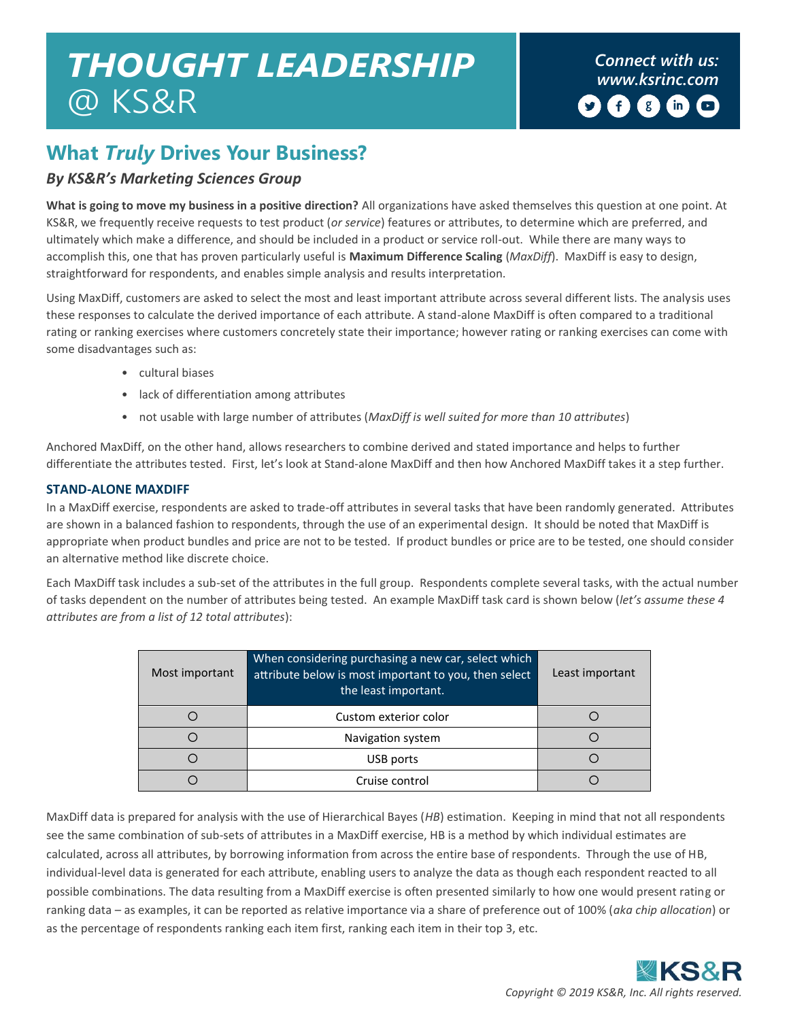# *Connect with us: THOUGHT LEADERSHIP [www.ksrinc.com](http://www.ksrinc.com/)* @ KS&R

# **What** *Truly* **Drives Your Business?**

## *By KS&R's Marketing Sciences Group*

**What is going to move my business in a positive direction?** All organizations have asked themselves this question at one point. At KS&R, we frequently receive requests to test product (*or service*) features or attributes, to determine which are preferred, and ultimately which make a difference, and should be included in a product or service roll-out. While there are many ways to accomplish this, one that has proven particularly useful is **Maximum Difference Scaling** (*MaxDiff*). MaxDiff is easy to design, straightforward for respondents, and enables simple analysis and results interpretation.

Using MaxDiff, customers are asked to select the most and least important attribute across several different lists. The analysis uses these responses to calculate the derived importance of each attribute. A stand-alone MaxDiff is often compared to a traditional rating or ranking exercises where customers concretely state their importance; however rating or ranking exercises can come with some disadvantages such as:

- cultural biases
- lack of differentiation among attributes
- not usable with large number of attributes (*MaxDiff is well suited for more than 10 attributes*)

Anchored MaxDiff, on the other hand, allows researchers to combine derived and stated importance and helps to further differentiate the attributes tested. First, let's look at Stand-alone MaxDiff and then how Anchored MaxDiff takes it a step further.

### **STAND-ALONE MAXDIFF**

In a MaxDiff exercise, respondents are asked to trade-off attributes in several tasks that have been randomly generated. Attributes are shown in a balanced fashion to respondents, through the use of an experimental design. It should be noted that MaxDiff is appropriate when product bundles and price are not to be tested. If product bundles or price are to be tested, one should consider an alternative method like discrete choice.

Each MaxDiff task includes a sub-set of the attributes in the full group. Respondents complete several tasks, with the actual number of tasks dependent on the number of attributes being tested. An example MaxDiff task card is shown below (*let's assume these 4 attributes are from a list of 12 total attributes*):

| Most important | When considering purchasing a new car, select which<br>attribute below is most important to you, then select<br>the least important. | Least important |
|----------------|--------------------------------------------------------------------------------------------------------------------------------------|-----------------|
|                | Custom exterior color                                                                                                                |                 |
|                | Navigation system                                                                                                                    |                 |
|                | USB ports                                                                                                                            |                 |
|                | Cruise control                                                                                                                       |                 |

MaxDiff data is prepared for analysis with the use of Hierarchical Bayes (*HB*) estimation. Keeping in mind that not all respondents see the same combination of sub-sets of attributes in a MaxDiff exercise, HB is a method by which individual estimates are calculated, across all attributes, by borrowing information from across the entire base of respondents. Through the use of HB, individual-level data is generated for each attribute, enabling users to analyze the data as though each respondent reacted to all possible combinations. The data resulting from a MaxDiff exercise is often presented similarly to how one would present rating or ranking data – as examples, it can be reported as relative importance via a share of preference out of 100% (*aka chip allocation*) or as the percentage of respondents ranking each item first, ranking each item in their top 3, etc.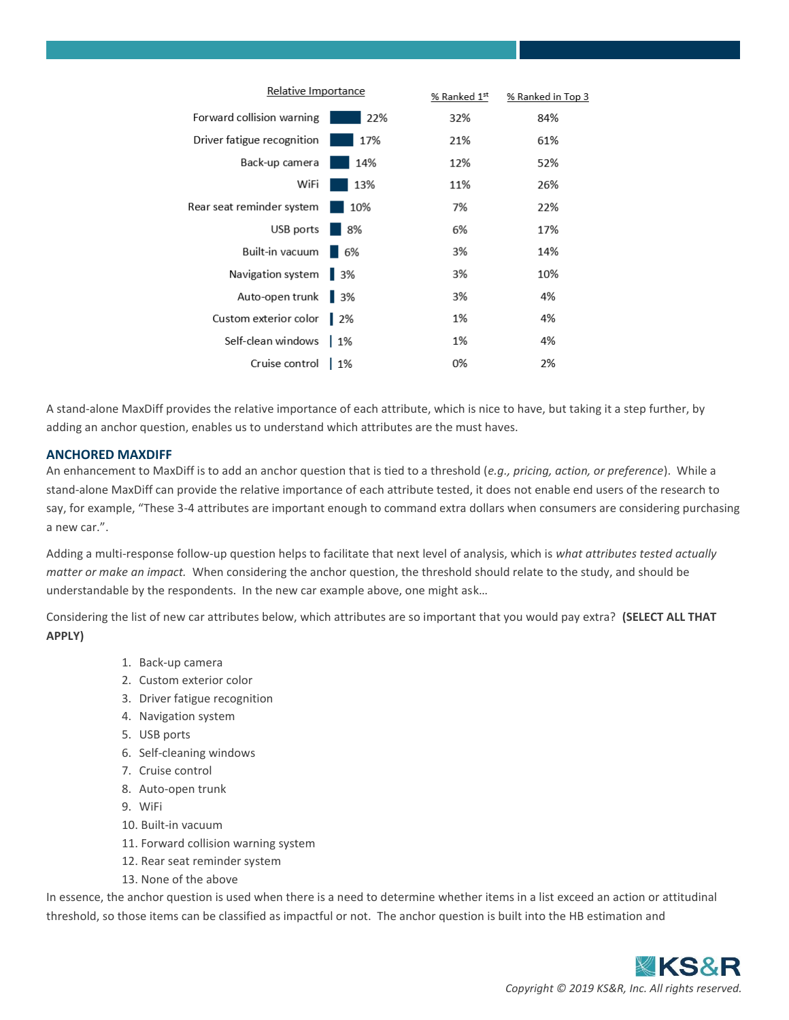

A stand-alone MaxDiff provides the relative importance of each attribute, which is nice to have, but taking it a step further, by adding an anchor question, enables us to understand which attributes are the must haves.

#### **ANCHORED MAXDIFF**

An enhancement to MaxDiff is to add an anchor question that is tied to a threshold (*e.g., pricing, action, or preference*). While a stand-alone MaxDiff can provide the relative importance of each attribute tested, it does not enable end users of the research to say, for example, "These 3-4 attributes are important enough to command extra dollars when consumers are considering purchasing a new car.".

Adding a multi-response follow-up question helps to facilitate that next level of analysis, which is *what attributes tested actually matter or make an impact.* When considering the anchor question, the threshold should relate to the study, and should be understandable by the respondents. In the new car example above, one might ask…

Considering the list of new car attributes below, which attributes are so important that you would pay extra? **(SELECT ALL THAT APPLY)**

- 1. Back-up camera
- 2. Custom exterior color
- 3. Driver fatigue recognition
- 4. Navigation system
- 5. USB ports
- 6. Self-cleaning windows
- 7. Cruise control
- 8. Auto-open trunk
- 9. WiFi
- 10. Built-in vacuum
- 11. Forward collision warning system
- 12. Rear seat reminder system
- 13. None of the above

In essence, the anchor question is used when there is a need to determine whether items in a list exceed an action or attitudinal threshold, so those items can be classified as impactful or not. The anchor question is built into the HB estimation and